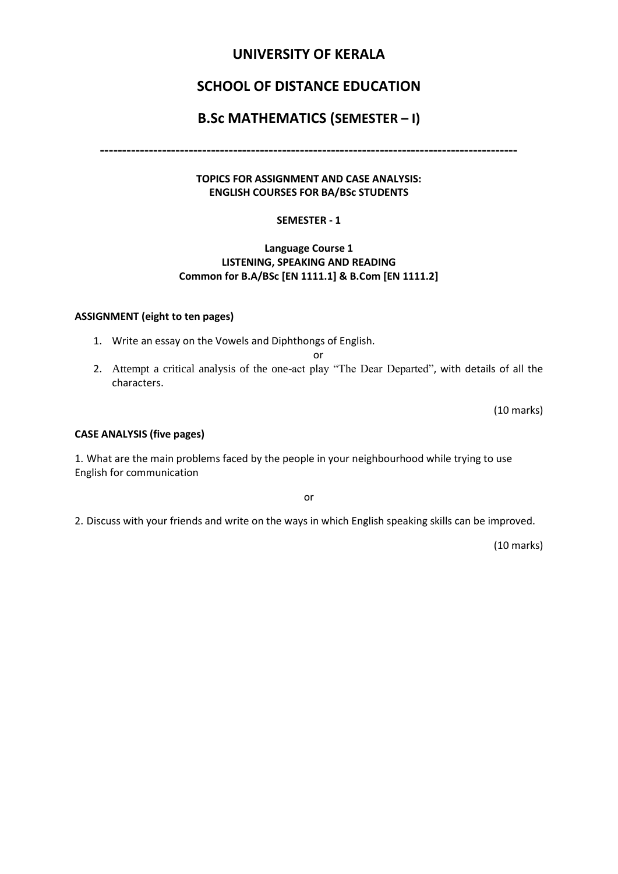### **UNIVERSITY OF KERALA**

## **SCHOOL OF DISTANCE EDUCATION**

### **B.Sc MATHEMATICS (SEMESTER – I)**

**----------------------------------------------------------------------------------------------**

#### **TOPICS FOR ASSIGNMENT AND CASE ANALYSIS: ENGLISH COURSES FOR BA/BSc STUDENTS**

#### **SEMESTER - 1**

#### **Language Course 1 LISTENING, SPEAKING AND READING Common for B.A/BSc [EN 1111.1] & B.Com [EN 1111.2]**

#### **ASSIGNMENT (eight to ten pages)**

1. Write an essay on the Vowels and Diphthongs of English.

or

2. Attempt a critical analysis of the one-act play "The Dear Departed", with details of all the characters.

(10 marks)

#### **CASE ANALYSIS (five pages)**

1. What are the main problems faced by the people in your neighbourhood while trying to use English for communication

or

2. Discuss with your friends and write on the ways in which English speaking skills can be improved.

(10 marks)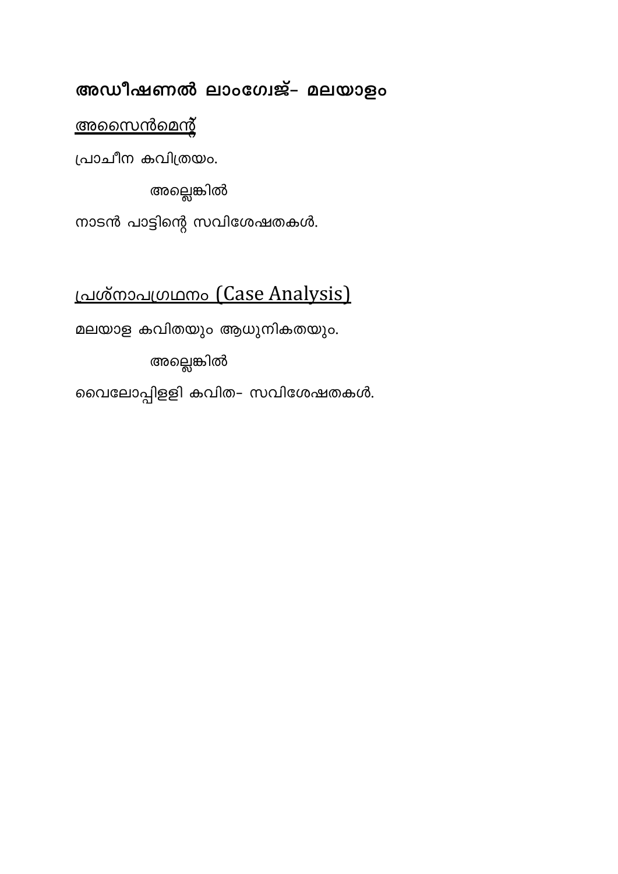# അഡീഷണൽ ലാംഗേജ്– മലയാളം

## <u>അസൈൻമെന്റ്</u>

പ്രാചീന കവിത്രയം.

അല്ലെങ്കിൽ

നാടൻ പാട്ടിന്റെ സവിശേഷതകൾ.

# <u>പ്രശ്നാപഗ്രഥനം</u> (Case Analysis)

മലയാള കവിതയും ആധുനികതയും.

അല്ലെങ്കിൽ

വൈലോപ്പിളളി കവിത- സവിശേഷതകൾ.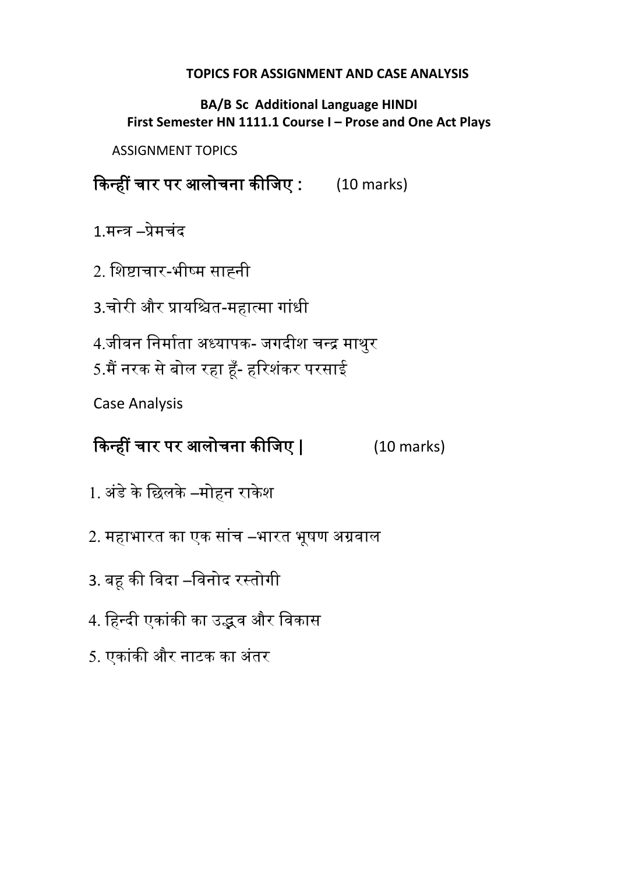## **TOPICS FOR ASSIGNMENT AND CASE ANALYSIS**

**BA/B Sc Additional Language HINDI First Semester HN 1111.1 Course I - Prose and One Act Plays** 

ASSIGNMENT TOPICS

किन्हीं चार पर आलोचना कीजिए : (10 marks)

1.मन्र –प्रेमचंद

2. जिष्टाचार-भीष्म साह्नी

3.चोरी और प्रायजित-महात्मा गांधी

4.जीवन निर्माता अध्यापक- जगदीश चन्द्र माथुर

5.मैं नरक से बोल रहा हूँ- हरिशंकर परसाई

Case Analysis

किन्हीं चार पर आलोचना कीजिए | (10 marks)

- 1. अंडे के छिलके –मोहन राकेश
- 2. महाभारत का एक सांच –भारत भूषण अग्रवाल
- 3. बहू की विदा –विनोद रस्तोगी
- 4. हिन्दी एकांकी का उद्भव और विकास
- 5. एकांकी और नाटक का अंतर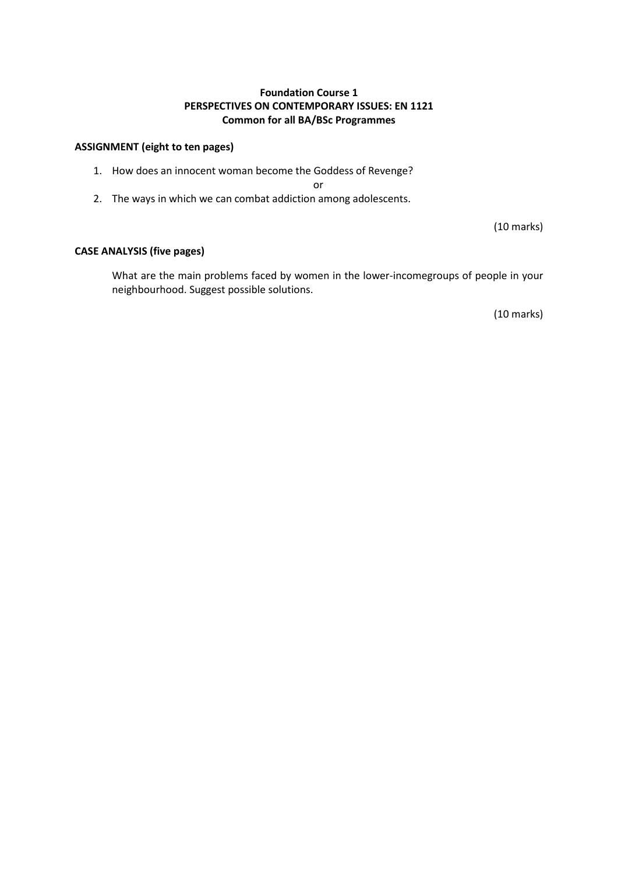#### **Foundation Course 1 PERSPECTIVES ON CONTEMPORARY ISSUES: EN 1121 Common for all BA/BSc Programmes**

#### **ASSIGNMENT (eight to ten pages)**

1. How does an innocent woman become the Goddess of Revenge?

or

2. The ways in which we can combat addiction among adolescents.

(10 marks)

#### **CASE ANALYSIS (five pages)**

What are the main problems faced by women in the lower-incomegroups of people in your neighbourhood. Suggest possible solutions.

(10 marks)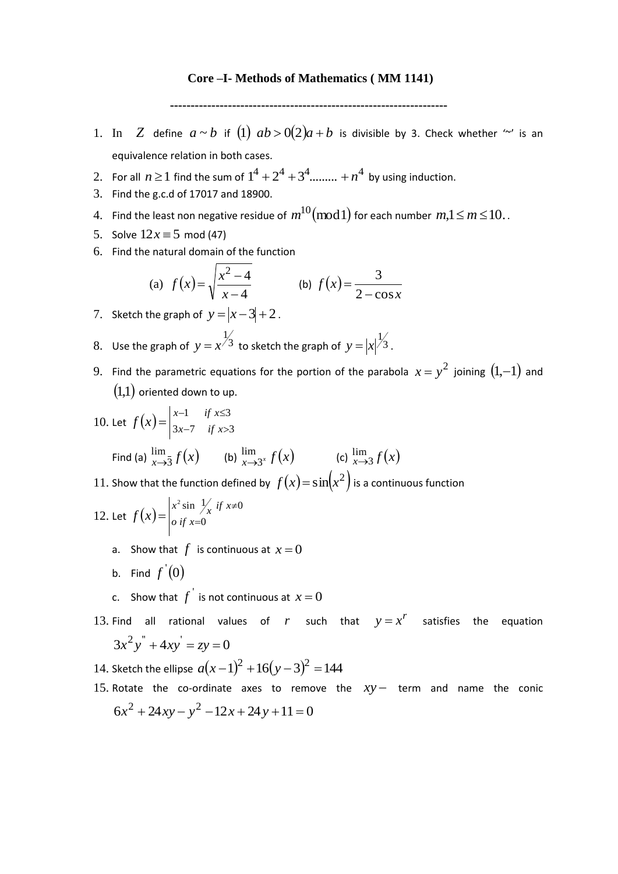#### **Core –I- Methods of Mathematics ( MM 1141)**

**-------------------------------------------------------------------**

- 1. In *Z* define  $a \sim b$  if (1)  $ab > 0(2)a + b$  is divisible by 3. Check whether "" is an equivalence relation in both cases.
- 2. For all  $n \ge 1$  find the sum of  $1^4 + 2^4 + 3^4$ ......... +  $n^4$  by using induction.
- 3. Find the g.c.d of 17017 and 18900.
- $4.$  Find the least non negative residue of  $m^{10}(\text{mod}\hspace{0.1cm}1)$  for each number  $\,m,\!1\!\leq\!m\!\leq\!10..$
- 5. Solve  $12x \equiv 5 \text{ mod } (47)$
- 6. Find the natural domain of the function

(a) 
$$
f(x) = \sqrt{\frac{x^2 - 4}{x - 4}}
$$
 (b)  $f(x) = \frac{3}{2 - \cos x}$ 

- 7. Sketch the graph of  $y = |x-3| + 2$ .
- 8. Use the graph of  $y = x^{\frac{1}{3}}$  $y = x^{\frac{1}{3}}$  to sketch the graph of  $y = |x|^{\frac{1}{3}}$ .
- 9. Find the parametric equations for the portion of the parabola  $x = y^2$  joining  $(1,-1)$  and  $\left( 1,1\right)$  oriented down to up.
- 10. Let  $f(x) = \begin{vmatrix} x-1 & \text{if } x \le 3 \\ 3x-7 & \text{if } x > 3 \end{vmatrix}$  $3x-7$  if  $x>3$  $-1$  if  $x \le$  $=\begin{vmatrix} x-1 & \text{if } x \leq 3 \\ 3x-7 & \text{if } x > 0 \end{vmatrix}$  $f(x) = \begin{cases} x^2 + 3x - 7 & \text{if } x \\ 3x - 7 & \text{if } x \end{cases}$ Find (a)  $lim_{x\rightarrow 3} f(x)$ lim  $lim_{x \to 3} f(x)$  (b)  $lim_{x \to 3^x} f(x)$ lim  $\lim_{x \to 3^x} f(x)$  (c)  $\lim_{x \to 3} f(x)$  $\rightarrow 3$ 11. Show that the function defined by  $f(x) = sin(x^2)$  is a continuous function  $x^2 \sin \frac{1}{x}$  if  $x\neq 0$  $\epsilon$ <sup>0</sup>

12. Let 
$$
f(x) = \begin{vmatrix} x^2 \sin \frac{1}{x} & \text{if } x \neq 0 \\ 0 & \text{if } x = 0 \end{vmatrix}
$$

- a. Show that  $f$  is continuous at  $x=0$
- b. Find  $f^{'}(0)$
- c. Show that  $f^{'}$  is not continuous at  $x=0$
- 13. Find all rational values of r such that  $y = x^r$  satisfies the equation  $3x^{2}y'' + 4xy' = zy = 0$
- 14. Sketch the ellipse  $a(x-1)^2 + 16(y-3)^2 = 144$
- 15. Rotate the co-ordinate axes to remove the  $xy-$  term and name the conic  $6x^{2} + 24xy - y^{2} - 12x + 24y + 11 = 0$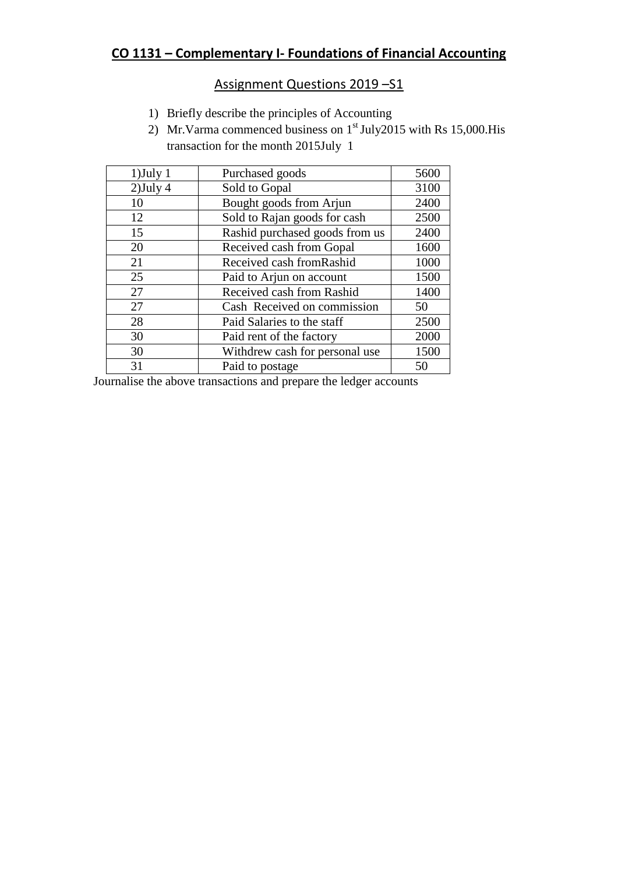## **CO 1131 – Complementary I- Foundations of Financial Accounting**

### Assignment Questions 2019 - S1

- 1) Briefly describe the principles of Accounting
- 2) Mr.Varma commenced business on  $1<sup>st</sup>$  July2015 with Rs 15,000.His transaction for the month 2015July 1

| $1)$ July 1 | Purchased goods                | 5600 |
|-------------|--------------------------------|------|
| $2)$ July 4 | Sold to Gopal                  | 3100 |
| 10          | Bought goods from Arjun        | 2400 |
| 12          | Sold to Rajan goods for cash   | 2500 |
| 15          | Rashid purchased goods from us | 2400 |
| 20          | Received cash from Gopal       | 1600 |
| 21          | Received cash from Rashid      | 1000 |
| 25          | Paid to Arjun on account       | 1500 |
| 27          | Received cash from Rashid      | 1400 |
| 27          | Cash Received on commission    | 50   |
| 28          | Paid Salaries to the staff     | 2500 |
| 30          | Paid rent of the factory       | 2000 |
| 30          | Withdrew cash for personal use | 1500 |
| 31          | Paid to postage                | 50   |

Journalise the above transactions and prepare the ledger accounts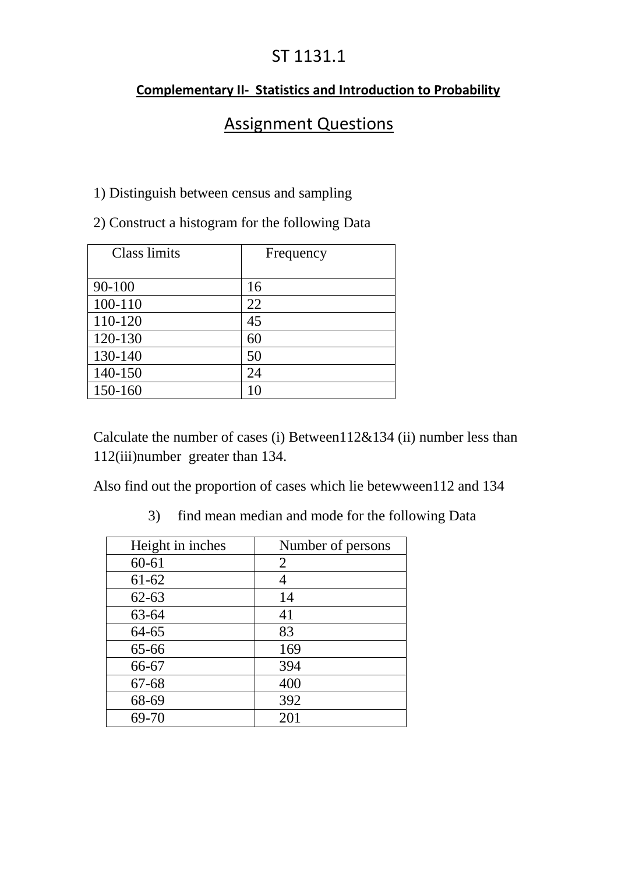## ST 1131.1

## **Complementary II- Statistics and Introduction to Probability**

## Assignment Questions

## 1) Distinguish between census and sampling

2) Construct a histogram for the following Data

| Class limits | Frequency |
|--------------|-----------|
|              |           |
| $90 - 100$   | 16        |
| 100-110      | 22        |
| 110-120      | 45        |
| 120-130      | 60        |
| 130-140      | 50        |
| 140-150      | 24        |
| 150-160      | 10        |

Calculate the number of cases (i) Between112&134 (ii) number less than 112(iii)number greater than 134.

Also find out the proportion of cases which lie betewween112 and 134

3) find mean median and mode for the following Data

| Height in inches | Number of persons |
|------------------|-------------------|
| $60 - 61$        | 2                 |
| $61 - 62$        | 4                 |
| $62 - 63$        | 14                |
| 63-64            | 41                |
| 64-65            | 83                |
| 65-66            | 169               |
| 66-67            | 394               |
| 67-68            | 400               |
| 68-69            | 392               |
| 69-70            | 201               |